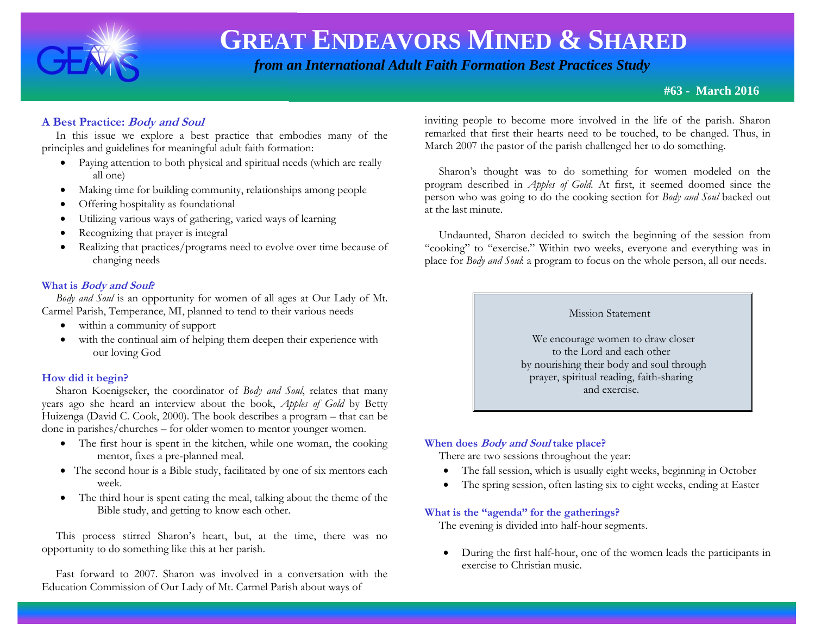

 *from an International Adult Faith Formation Best Practices Study*

**#63 - March 2016**

# **A Best Practice: Body and Soul**

 In this issue we explore a best practice that embodies many of the principles and guidelines for meaningful adult faith formation:

- Paying attention to both physical and spiritual needs (which are really all one)
- Making time for building community, relationships among people
- Offering hospitality as foundational
- Utilizing various ways of gathering, varied ways of learning
- Recognizing that prayer is integral
- Realizing that practices/programs need to evolve over time because of changing needs

# **What is Body and Soul?**

*Body and Soul* is an opportunity for women of all ages at Our Lady of Mt. Carmel Parish, Temperance, MI, planned to tend to their various needs

- within a community of support
- with the continual aim of helping them deepen their experience with our loving God

# **How did it begin?**

 Sharon Koenigseker, the coordinator of *Body and Soul*, relates that many years ago she heard an interview about the book, *Apples of Gold* by Betty Huizenga (David C. Cook, 2000). The book describes a program – that can be done in parishes/churches – for older women to mentor younger women.

- The first hour is spent in the kitchen, while one woman, the cooking mentor, fixes a pre-planned meal.
- The second hour is a Bible study, facilitated by one of six mentors each week.
- The third hour is spent eating the meal, talking about the theme of the Bible study, and getting to know each other.

 This process stirred Sharon's heart, but, at the time, there was no opportunity to do something like this at her parish.

 Fast forward to 2007. Sharon was involved in a conversation with the Education Commission of Our Lady of Mt. Carmel Parish about ways of

inviting people to become more involved in the life of the parish. Sharon remarked that first their hearts need to be touched, to be changed. Thus, in March 2007 the pastor of the parish challenged her to do something.

 Sharon's thought was to do something for women modeled on the program described in *Apples of Gold*. At first, it seemed doomed since the person who was going to do the cooking section for *Body and Soul* backed out at the last minute.

 Undaunted, Sharon decided to switch the beginning of the session from "cooking" to "exercise." Within two weeks, everyone and everything was in place for *Body and Soul*: a program to focus on the whole person, all our needs.

#### Mission Statement

 We encourage women to draw closer to the Lord and each other by nourishing their body and soul through prayer, spiritual reading, faith-sharing and exercise.

### **When does Body and Soul take place?**

There are two sessions throughout the year:

- The fall session, which is usually eight weeks, beginning in October
- The spring session, often lasting six to eight weeks, ending at Easter

### **What is the "agenda" for the gatherings?**

The evening is divided into half-hour segments.

 During the first half-hour, one of the women leads the participants in exercise to Christian music.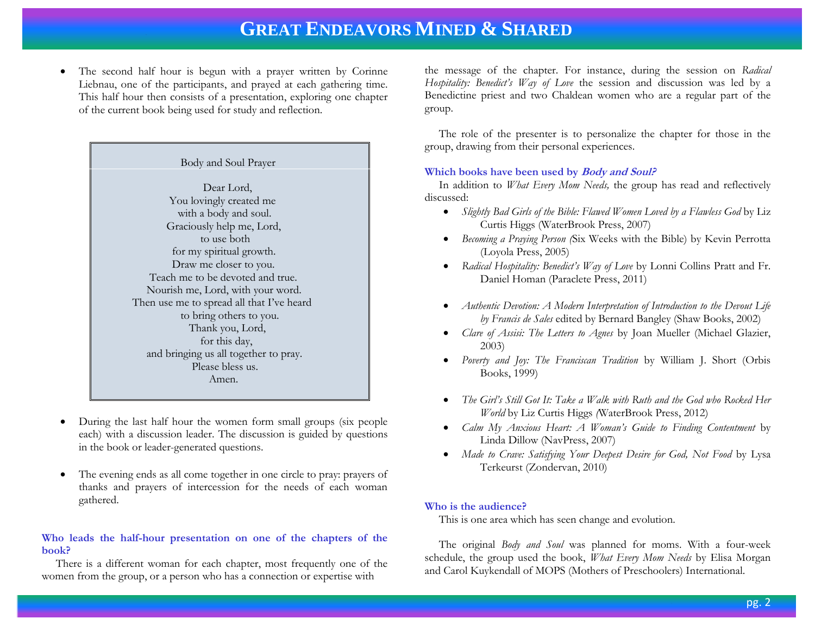The second half hour is begun with a prayer written by Corinne Liebnau, one of the participants, and prayed at each gathering time. This half hour then consists of a presentation, exploring one chapter of the current book being used for study and reflection.

| Body and Soul Prayer                      |
|-------------------------------------------|
|                                           |
| Dear Lord,                                |
| You lovingly created me                   |
| with a body and soul.                     |
| Graciously help me, Lord,                 |
| to use both                               |
| for my spiritual growth.                  |
| Draw me closer to you.                    |
| Teach me to be devoted and true.          |
| Nourish me, Lord, with your word.         |
| Then use me to spread all that I've heard |
| to bring others to you.                   |
| Thank you, Lord,                          |
| for this day,                             |
| and bringing us all together to pray.     |
| Please bless us.                          |
| Amen.                                     |
|                                           |

- During the last half hour the women form small groups (six people each) with a discussion leader. The discussion is guided by questions in the book or leader-generated questions.
- The evening ends as all come together in one circle to pray: prayers of thanks and prayers of intercession for the needs of each woman gathered.

#### **Who leads the half-hour presentation on one of the chapters of the book?**

There is a different woman for each chapter, most frequently one of the women from the group, or a person who has a connection or expertise with

the message of the chapter. For instance, during the session on *Radical Hospitality: Benedict's Way of Love* the session and discussion was led by a Benedictine priest and two Chaldean women who are a regular part of the group.

 The role of the presenter is to personalize the chapter for those in the group, drawing from their personal experiences.

### **Which books have been used by Body and Soul?**

 In addition to *What Every Mom Needs,* the group has read and reflectively discussed:

- *[Slightly Bad Girls of the Bible: Flawed Women Loved by a Flawless God](http://www.amazon.com/Slightly-Bad-Girls-Bible-Flawless/dp/1400072123/ref=sr_1_4?s=books&ie=UTF8&qid=1394835443&sr=1-4&keywords=bad+girls+of+the+bible)* by [Liz](http://www.amazon.com/Liz-Curtis-Higgs/e/B001IOF77I/ref=sr_ntt_srch_lnk_4?qid=1394835443&sr=1-4)  [Curtis Higgs](http://www.amazon.com/Liz-Curtis-Higgs/e/B001IOF77I/ref=sr_ntt_srch_lnk_4?qid=1394835443&sr=1-4) (WaterBrook Press, 2007)
- *Becoming a Praying Person (*Six Weeks with the Bible) by Kevin Perrotta (Loyola Press, 2005)
- *Radical Hospitality: Benedict's Way of Love* by Lonni Collins Pratt and Fr. Daniel Homan (Paraclete Press, 2011)
- *Authentic Devotion: A Modern Interpretation of Introduction to the Devout Life by Francis de Sales* edited by Bernard Bangley (Shaw Books, 2002)
- *Clare of Assisi: The Letters to Agnes* by Joan Mueller (Michael Glazier, 2003)
- *Poverty and Joy: The Franciscan Tradition* by William J. Short (Orbis Books, 1999)
- *The Girl's Still Got It: Take a Walk with Ruth and the God who Rocked Her World* by Liz Curtis Higgs *(*WaterBrook Press, 2012)
- *Calm My Anxious Heart: A Woman's Guide to Finding Contentment* by Linda Dillow (NavPress, 2007)
- *Made to Crave: Satisfying Your Deepest Desire for God, Not Food* by Lysa Terkeurst (Zondervan, 2010)

#### **Who is the audience?**

This is one area which has seen change and evolution.

 The original *Body and Soul* was planned for moms. With a four-week schedule, the group used the book, *What Every Mom Needs* by Elisa Morgan and Carol Kuykendall of MOPS (Mothers of Preschoolers) International.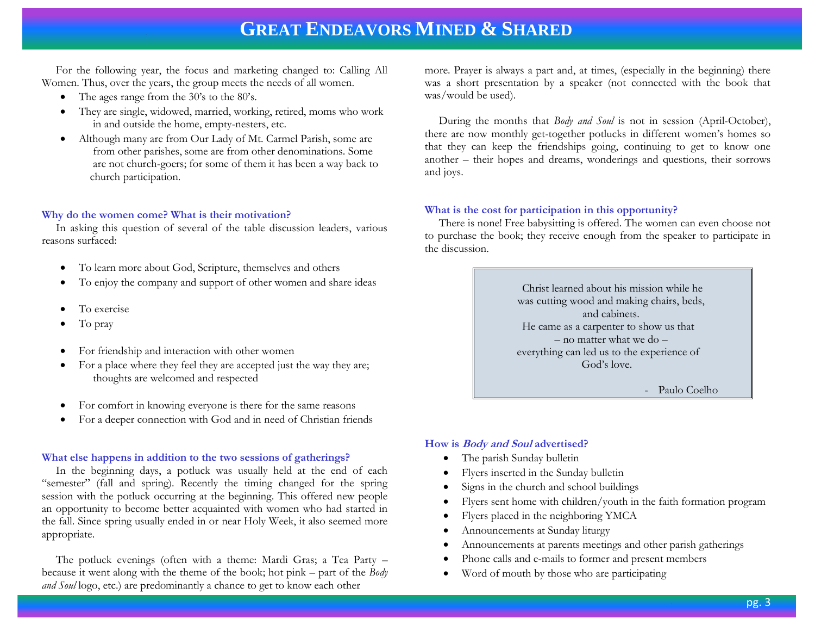For the following year, the focus and marketing changed to: Calling All Women. Thus, over the years, the group meets the needs of all women.

- The ages range from the 30's to the 80's.
- They are single, widowed, married, working, retired, moms who work in and outside the home, empty-nesters, etc.
- Although many are from Our Lady of Mt. Carmel Parish, some are from other parishes, some are from other denominations. Some are not church-goers; for some of them it has been a way back to church participation.

#### **Why do the women come? What is their motivation?**

 In asking this question of several of the table discussion leaders, various reasons surfaced:

- To learn more about God, Scripture, themselves and others
- To enjoy the company and support of other women and share ideas
- To exercise
- To pray
- For friendship and interaction with other women
- For a place where they feel they are accepted just the way they are; thoughts are welcomed and respected
- For comfort in knowing everyone is there for the same reasons
- For a deeper connection with God and in need of Christian friends

#### **What else happens in addition to the two sessions of gatherings?**

 In the beginning days, a potluck was usually held at the end of each "semester" (fall and spring). Recently the timing changed for the spring session with the potluck occurring at the beginning. This offered new people an opportunity to become better acquainted with women who had started in the fall. Since spring usually ended in or near Holy Week, it also seemed more appropriate.

 The potluck evenings (often with a theme: Mardi Gras; a Tea Party – because it went along with the theme of the book; hot pink – part of the *Body and Soul* logo, etc.) are predominantly a chance to get to know each other

more. Prayer is always a part and, at times, (especially in the beginning) there was a short presentation by a speaker (not connected with the book that was/would be used).

 During the months that *Body and Soul* is not in session (April-October), there are now monthly get-together potlucks in different women's homes so that they can keep the friendships going, continuing to get to know one another – their hopes and dreams, wonderings and questions, their sorrows and joys.

#### **What is the cost for participation in this opportunity?**

 There is none! Free babysitting is offered. The women can even choose not to purchase the book; they receive enough from the speaker to participate in the discussion.

> Christ learned about his mission while he was cutting wood and making chairs, beds, and cabinets. He came as a carpenter to show us that – no matter what we do – everything can led us to the experience of God's love.

> > Paulo Coelho

#### **How is Body and Soul advertised?**

- The parish Sunday bulletin
- Flyers inserted in the Sunday bulletin
- Signs in the church and school buildings
- Flyers sent home with children/youth in the faith formation program
- Flyers placed in the neighboring YMCA
- Announcements at Sunday liturgy
- Announcements at parents meetings and other parish gatherings
- Phone calls and e-mails to former and present members
- Word of mouth by those who are participating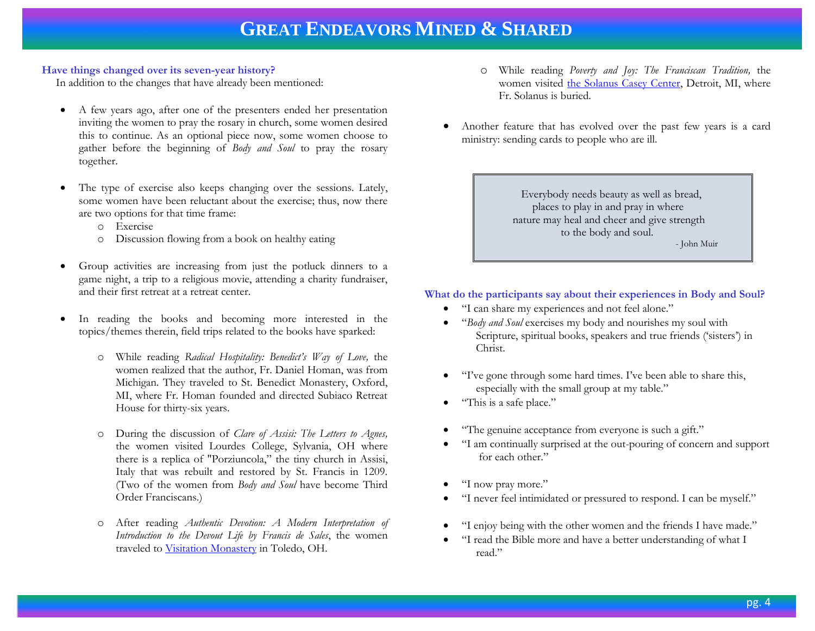#### **Have things changed over its seven-year history?**

In addition to the changes that have already been mentioned:

- A few years ago, after one of the presenters ended her presentation inviting the women to pray the rosary in church, some women desired this to continue. As an optional piece now, some women choose to gather before the beginning of *Body and Soul* to pray the rosary together.
- The type of exercise also keeps changing over the sessions. Lately, some women have been reluctant about the exercise; thus, now there are two options for that time frame:
	- o Exercise
	- o Discussion flowing from a book on healthy eating
- Group activities are increasing from just the potluck dinners to a game night, a trip to a religious movie, attending a charity fundraiser, and their first retreat at a retreat center.
- In reading the books and becoming more interested in the topics/themes therein, field trips related to the books have sparked:
	- o While reading *Radical Hospitality: Benedict's Way of Love,* the women realized that the author, Fr. Daniel Homan, was from Michigan. They traveled to St. Benedict Monastery, Oxford, MI, where Fr. Homan founded and directed Subiaco Retreat House for thirty-six years.
	- o During the discussion of *Clare of Assisi: The Letters to Agnes,*  the women visited Lourdes College, Sylvania, OH where there is a replica of "Porziuncola," the tiny church in Assisi, Italy that was rebuilt and restored by St. Francis in 1209. (Two of the women from *Body and Soul* have become Third Order Franciscans.)
	- o After reading *Authentic Devotion: A Modern Interpretation of Introduction to the Devout Life by Francis de Sales*, the women traveled to [Visitation Monastery](http://www.toledovisitation.org/) in Toledo, OH.
- o While reading *Poverty and Joy: The Franciscan Tradition,* the women visited [the Solanus Casey Center,](http://www.solanuscenter.org/) Detroit, MI, where Fr. Solanus is buried.
- Another feature that has evolved over the past few years is a card ministry: sending cards to people who are ill.

 Everybody needs beauty as well as bread, places to play in and pray in where nature may heal and cheer and give strength to the body and soul. - John Muir

# **What do the participants say about their experiences in Body and Soul?**

- "I can share my experiences and not feel alone."
- "*Body and Soul* exercises my body and nourishes my soul with Scripture, spiritual books, speakers and true friends ('sisters') in Christ.
- "I've gone through some hard times. I've been able to share this, especially with the small group at my table."
- "This is a safe place."
- "The genuine acceptance from everyone is such a gift."
- "I am continually surprised at the out-pouring of concern and support for each other."
- "I now pray more."
- "I never feel intimidated or pressured to respond. I can be myself."
- "I enjoy being with the other women and the friends I have made."
- "I read the Bible more and have a better understanding of what I read."